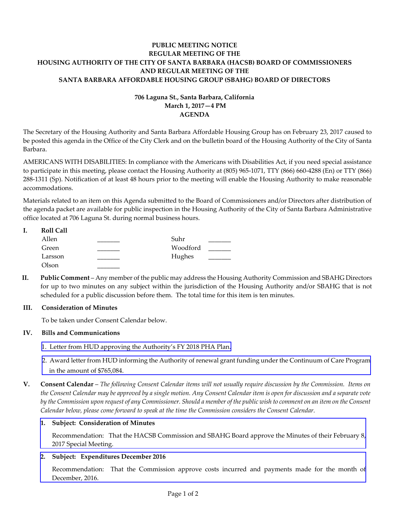# **PUBLIC MEETING NOTICE REGULAR MEETING OF THE HOUSING AUTHORITY OF THE CITY OF SANTA BARBARA (HACSB) BOARD OF COMMISSIONERS AND REGULAR MEETING OF THE SANTA BARBARA AFFORDABLE HOUSING GROUP (SBAHG) BOARD OF DIRECTORS**

# **706 Laguna St., Santa Barbara, California March 1, 2017—4 PM AGENDA**

The Secretary of the Housing Authority and Santa Barbara Affordable Housing Group has on February 23, 2017 caused to be posted this agenda in the Office of the City Clerk and on the bulletin board of the Housing Authority of the City of Santa Barbara.

AMERICANS WITH DISABILITIES: In compliance with the Americans with Disabilities Act, if you need special assistance to participate in this meeting, please contact the Housing Authority at (805) 965‐1071, TTY (866) 660‐4288 (En) or TTY (866) 288‐1311 (Sp). Notification of at least 48 hours prior to the meeting will enable the Housing Authority to make reasonable accommodations.

Materials related to an item on this Agenda submitted to the Board of Commissioners and/or Directors after distribution of the agenda packet are available for public inspection in the Housing Authority of the City of Santa Barbara Administrative office located at 706 Laguna St. during normal business hours.

| ı. | <b>Roll Call</b> |          |  |
|----|------------------|----------|--|
|    | Allen            | Suhr     |  |
|    | Green            | Woodford |  |
|    | Larsson          | Hughes   |  |
|    | Olson            |          |  |

**II. Public Comment** – Any member of the public may address the Housing Authority Commission and SBAHG Directors for up to two minutes on any subject within the jurisdiction of the Housing Authority and/or SBAHG that is not scheduled for a public discussion before them. The total time for this item is ten minutes.

## **III. Consideration of Minutes**

To be taken under Consent Calendar below.

## **IV. Bills and Communications**

- 1. Letter from HUD approving the [Authority's](http://hacsb.org/download/meetings_2017/items/03_march/item_IV_I_2017_03_01.pdf) FY 2018 PHA Plan.
- 2. Award letter from HUD informing the Authority of renewal grant funding under the [Continuum](http://hacsb.org/download/meetings_2017/items/03_march/item_IV_II_2017_03_01.pdf) of Care Program in the amount of \$765,084.
- V. Consent Calendar The following Consent Calendar items will not usually require discussion by the Commission. Items on the Consent Calendar may be approved by a single motion. Any Consent Calendar item is open for discussion and a separate vote by the Commission upon request of any Commissioner. Should a member of the public wish to comment on an item on the Consent *Calendar below, please come forward to speak at the time the Commission considers the Consent Calendar.*

## **1. Subject: Consideration of Minutes**

[Recommendation:](http://hacsb.org/download/meetings_2017/items/03_march/item_V_I_2017_03_01.pdf) That the HACSB Commission and SBAHG Board approve the Minutes of their February 8, 2017 Special Meeting.

# **2. Subject: Expenditures December 2016**

[Recommendation:](http://hacsb.org/download/meetings_2017/items/03_march/item_V_II_2017_03_01.pdf) That the Commission approve costs incurred and payments made for the month of December, 2016.